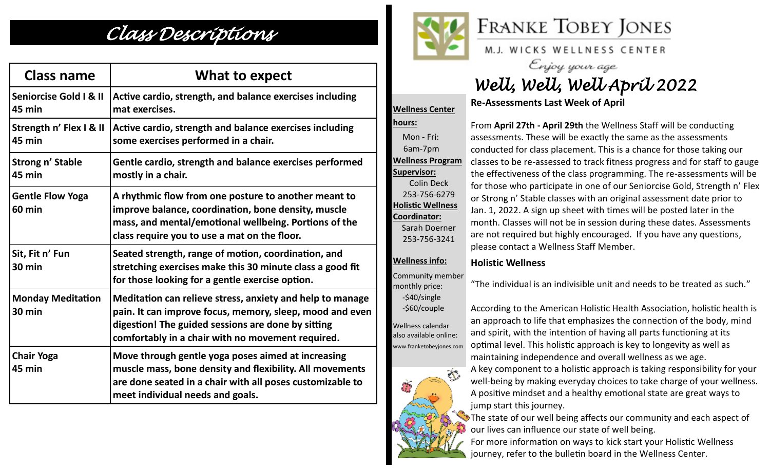## *Class Descriptions*

| <b>Class name</b>                        | What to expect                                                                                                                                                                                                                   |
|------------------------------------------|----------------------------------------------------------------------------------------------------------------------------------------------------------------------------------------------------------------------------------|
| Seniorcise Gold I & II<br>45 min         | Active cardio, strength, and balance exercises including<br>mat exercises.                                                                                                                                                       |
| Strength n' Flex I & II<br>45 min        | Active cardio, strength and balance exercises including<br>some exercises performed in a chair.                                                                                                                                  |
| <b>Strong n' Stable</b><br><b>45 min</b> | Gentle cardio, strength and balance exercises performed<br>mostly in a chair.                                                                                                                                                    |
| <b>Gentle Flow Yoga</b><br><b>60 min</b> | A rhythmic flow from one posture to another meant to<br>improve balance, coordination, bone density, muscle<br>mass, and mental/emotional wellbeing. Portions of the<br>class require you to use a mat on the floor.             |
| Sit, Fit n' Fun<br>30 min                | Seated strength, range of motion, coordination, and<br>stretching exercises make this 30 minute class a good fit<br>for those looking for a gentle exercise option.                                                              |
| <b>Monday Meditation</b><br>30 min       | Meditation can relieve stress, anxiety and help to manage<br>pain. It can improve focus, memory, sleep, mood and even<br>digestion! The guided sessions are done by sitting<br>comfortably in a chair with no movement required. |
| <b>Chair Yoga</b><br>45 min              | Move through gentle yoga poses aimed at increasing<br>muscle mass, bone density and flexibility. All movements<br>are done seated in a chair with all poses customizable to<br>meet individual needs and goals.                  |



**Wellness Center** 

# **FRANKE TOBEY JONES**

M.J. WICKS WELLNESS CENTER

# Enjoy your age<br>Well, Well, Well April 2022

### **Re-Assessments Last Week of April**

**hours:**  Mon - Fri: 6am-7pm **Wellness Program Supervisor:** Colin Deck 253-756-6279 **Holistic Wellness Coordinator:** Sarah Doerner 253-756-3241 **Wellness info:** Community member monthly price: -\$40/single

From **April 27th - April 29th** the Wellness Staff will be conducting assessments. These will be exactly the same as the assessments conducted for class placement. This is a chance for those taking our classes to be re-assessed to track fitness progress and for staff to gauge the effectiveness of the class programming. The re-assessments will be for those who participate in one of our Seniorcise Gold, Strength n' Flex or Strong n' Stable classes with an original assessment date prior to Jan. 1, 2022. A sign up sheet with times will be posted later in the month. Classes will not be in session during these dates. Assessments are not required but highly encouraged. If you have any questions, please contact a Wellness Staff Member.

### **Holistic Wellness**

"The individual is an indivisible unit and needs to be treated as such."

According to the American Holistic Health Association, holistic health is an approach to life that emphasizes the connection of the body, mind and spirit, with the intention of having all parts functioning at its optimal level. This holistic approach is key to longevity as well as maintaining independence and overall wellness as we age.

A key component to a holistic approach is taking responsibility for your well-being by making everyday choices to take charge of your wellness. A positive mindset and a healthy emotional state are great ways to jump start this journey.

The state of our well being affects our community and each aspect of our lives can influence our state of well being.

For more information on ways to kick start your Holistic Wellness journey, refer to the bulletin board in the Wellness Center.



-\$60/couple

Wellness calendar also available online: